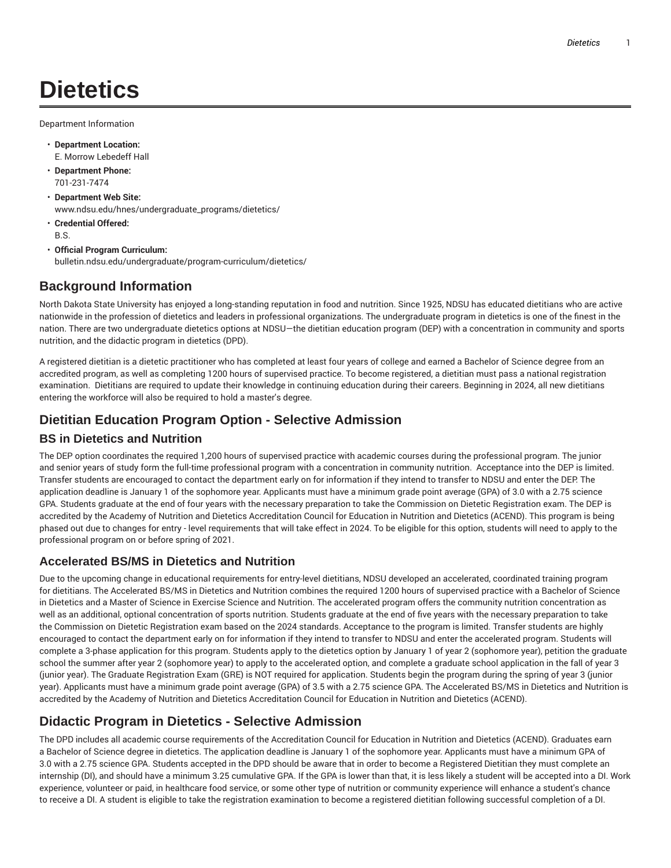# **Dietetics**

Department Information

- **Department Location:** E. Morrow Lebedeff Hall
- **Department Phone:** 701-231-7474
- **Department Web Site:** www.ndsu.edu/hnes/undergraduate\_programs/dietetics/
- **Credential Offered:** B.S.
- **Official Program Curriculum:** bulletin.ndsu.edu/undergraduate/program-curriculum/dietetics/

## **Background Information**

North Dakota State University has enjoyed a long-standing reputation in food and nutrition. Since 1925, NDSU has educated dietitians who are active nationwide in the profession of dietetics and leaders in professional organizations. The undergraduate program in dietetics is one of the finest in the nation. There are two undergraduate dietetics options at NDSU—the dietitian education program (DEP) with a concentration in community and sports nutrition, and the didactic program in dietetics (DPD).

A registered dietitian is a dietetic practitioner who has completed at least four years of college and earned a Bachelor of Science degree from an accredited program, as well as completing 1200 hours of supervised practice. To become registered, a dietitian must pass a national registration examination. Dietitians are required to update their knowledge in continuing education during their careers. Beginning in 2024, all new dietitians entering the workforce will also be required to hold a master's degree.

# **Dietitian Education Program Option - Selective Admission**

## **BS in Dietetics and Nutrition**

The DEP option coordinates the required 1,200 hours of supervised practice with academic courses during the professional program. The junior and senior years of study form the full-time professional program with a concentration in community nutrition. Acceptance into the DEP is limited. Transfer students are encouraged to contact the department early on for information if they intend to transfer to NDSU and enter the DEP. The application deadline is January 1 of the sophomore year. Applicants must have a minimum grade point average (GPA) of 3.0 with a 2.75 science GPA. Students graduate at the end of four years with the necessary preparation to take the Commission on Dietetic Registration exam. The DEP is accredited by the Academy of Nutrition and Dietetics Accreditation Council for Education in Nutrition and Dietetics (ACEND). This program is being phased out due to changes for entry - level requirements that will take effect in 2024. To be eligible for this option, students will need to apply to the professional program on or before spring of 2021.

## **Accelerated BS/MS in Dietetics and Nutrition**

Due to the upcoming change in educational requirements for entry-level dietitians, NDSU developed an accelerated, coordinated training program for dietitians. The Accelerated BS/MS in Dietetics and Nutrition combines the required 1200 hours of supervised practice with a Bachelor of Science in Dietetics and a Master of Science in Exercise Science and Nutrition. The accelerated program offers the community nutrition concentration as well as an additional, optional concentration of sports nutrition. Students graduate at the end of five years with the necessary preparation to take the Commission on Dietetic Registration exam based on the 2024 standards. Acceptance to the program is limited. Transfer students are highly encouraged to contact the department early on for information if they intend to transfer to NDSU and enter the accelerated program. Students will complete a 3-phase application for this program. Students apply to the dietetics option by January 1 of year 2 (sophomore year), petition the graduate school the summer after year 2 (sophomore year) to apply to the accelerated option, and complete a graduate school application in the fall of year 3 (junior year). The Graduate Registration Exam (GRE) is NOT required for application. Students begin the program during the spring of year 3 (junior year). Applicants must have a minimum grade point average (GPA) of 3.5 with a 2.75 science GPA. The Accelerated BS/MS in Dietetics and Nutrition is accredited by the Academy of Nutrition and Dietetics Accreditation Council for Education in Nutrition and Dietetics (ACEND).

# **Didactic Program in Dietetics - Selective Admission**

The DPD includes all academic course requirements of the Accreditation Council for Education in Nutrition and Dietetics (ACEND). Graduates earn a Bachelor of Science degree in dietetics. The application deadline is January 1 of the sophomore year. Applicants must have a minimum GPA of 3.0 with a 2.75 science GPA. Students accepted in the DPD should be aware that in order to become a Registered Dietitian they must complete an internship (DI), and should have a minimum 3.25 cumulative GPA. If the GPA is lower than that, it is less likely a student will be accepted into a DI. Work experience, volunteer or paid, in healthcare food service, or some other type of nutrition or community experience will enhance a student's chance to receive a DI. A student is eligible to take the registration examination to become a registered dietitian following successful completion of a DI.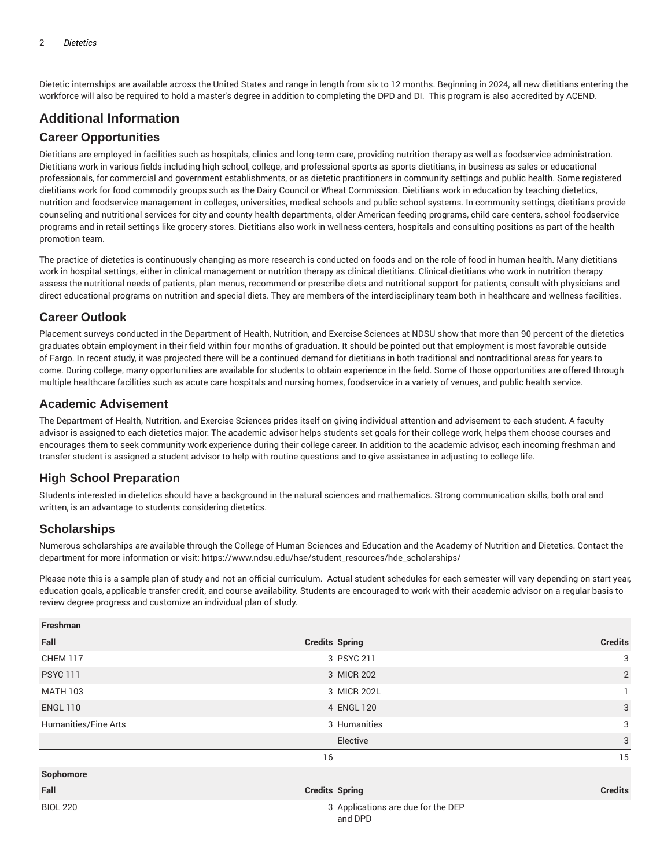Dietetic internships are available across the United States and range in length from six to 12 months. Beginning in 2024, all new dietitians entering the workforce will also be required to hold a master's degree in addition to completing the DPD and DI. This program is also accredited by ACEND.

## **Additional Information**

#### **Career Opportunities**

Dietitians are employed in facilities such as hospitals, clinics and long-term care, providing nutrition therapy as well as foodservice administration. Dietitians work in various fields including high school, college, and professional sports as sports dietitians, in business as sales or educational professionals, for commercial and government establishments, or as dietetic practitioners in community settings and public health. Some registered dietitians work for food commodity groups such as the Dairy Council or Wheat Commission. Dietitians work in education by teaching dietetics, nutrition and foodservice management in colleges, universities, medical schools and public school systems. In community settings, dietitians provide counseling and nutritional services for city and county health departments, older American feeding programs, child care centers, school foodservice programs and in retail settings like grocery stores. Dietitians also work in wellness centers, hospitals and consulting positions as part of the health promotion team.

The practice of dietetics is continuously changing as more research is conducted on foods and on the role of food in human health. Many dietitians work in hospital settings, either in clinical management or nutrition therapy as clinical dietitians. Clinical dietitians who work in nutrition therapy assess the nutritional needs of patients, plan menus, recommend or prescribe diets and nutritional support for patients, consult with physicians and direct educational programs on nutrition and special diets. They are members of the interdisciplinary team both in healthcare and wellness facilities.

#### **Career Outlook**

Placement surveys conducted in the Department of Health, Nutrition, and Exercise Sciences at NDSU show that more than 90 percent of the dietetics graduates obtain employment in their field within four months of graduation. It should be pointed out that employment is most favorable outside of Fargo. In recent study, it was projected there will be a continued demand for dietitians in both traditional and nontraditional areas for years to come. During college, many opportunities are available for students to obtain experience in the field. Some of those opportunities are offered through multiple healthcare facilities such as acute care hospitals and nursing homes, foodservice in a variety of venues, and public health service.

#### **Academic Advisement**

The Department of Health, Nutrition, and Exercise Sciences prides itself on giving individual attention and advisement to each student. A faculty advisor is assigned to each dietetics major. The academic advisor helps students set goals for their college work, helps them choose courses and encourages them to seek community work experience during their college career. In addition to the academic advisor, each incoming freshman and transfer student is assigned a student advisor to help with routine questions and to give assistance in adjusting to college life.

## **High School Preparation**

Students interested in dietetics should have a background in the natural sciences and mathematics. Strong communication skills, both oral and written, is an advantage to students considering dietetics.

## **Scholarships**

Numerous scholarships are available through the College of Human Sciences and Education and the Academy of Nutrition and Dietetics. Contact the department for more information or visit: https://www.ndsu.edu/hse/student\_resources/hde\_scholarships/

Please note this is a sample plan of study and not an official curriculum. Actual student schedules for each semester will vary depending on start year, education goals, applicable transfer credit, and course availability. Students are encouraged to work with their academic advisor on a regular basis to review degree progress and customize an individual plan of study.

| Freshman             |                                               |                           |
|----------------------|-----------------------------------------------|---------------------------|
| Fall                 | <b>Credits Spring</b>                         | <b>Credits</b>            |
| <b>CHEM 117</b>      | 3 PSYC 211                                    | 3                         |
| <b>PSYC 111</b>      | 3 MICR 202                                    | $\overline{2}$            |
| <b>MATH 103</b>      | 3 MICR 202L                                   | 1                         |
| <b>ENGL 110</b>      | 4 ENGL 120                                    | 3                         |
| Humanities/Fine Arts | 3 Humanities                                  | 3                         |
|                      | Elective                                      | $\ensuremath{\mathsf{3}}$ |
|                      | 16                                            | 15                        |
| Sophomore            |                                               |                           |
| Fall                 | <b>Credits Spring</b>                         | <b>Credits</b>            |
| <b>BIOL 220</b>      | 3 Applications are due for the DEP<br>and DPD |                           |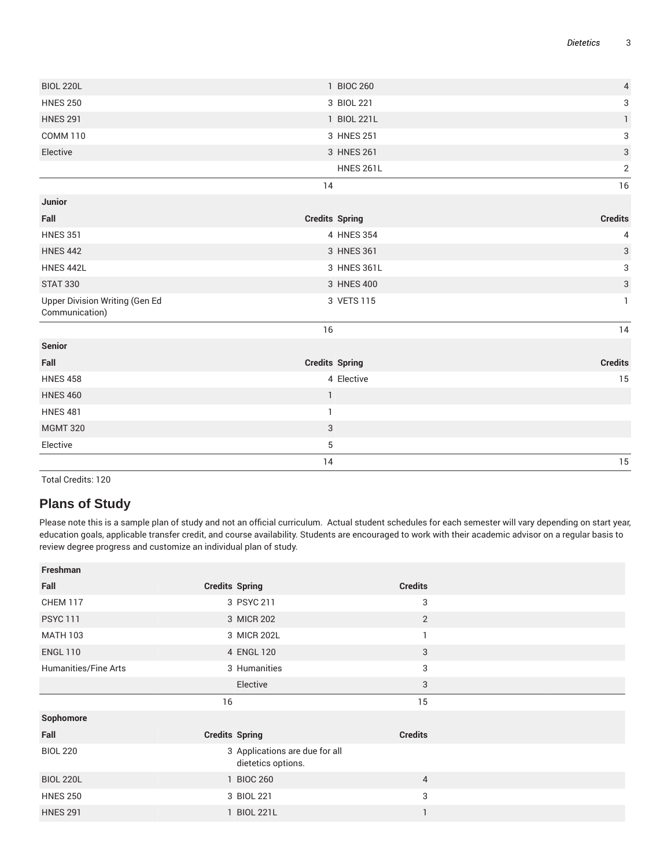|                                | 14                    | $15\,$         |
|--------------------------------|-----------------------|----------------|
| Elective                       | 5                     |                |
| <b>MGMT 320</b>                | 3                     |                |
| <b>HNES 481</b>                | $\mathbf{1}$          |                |
| <b>HNES 460</b>                | $\mathbf{1}$          |                |
| <b>HNES 458</b>                | 4 Elective            | 15             |
| Fall                           | <b>Credits Spring</b> | <b>Credits</b> |
| <b>Senior</b>                  |                       |                |
|                                | 16                    | 14             |
| Communication)                 |                       |                |
| Upper Division Writing (Gen Ed | 3 VETS 115            | $\mathbf{1}$   |
| <b>STAT 330</b>                | 3 HNES 400            | $\sqrt{3}$     |
| <b>HNES 442L</b>               | 3 HNES 361L           | 3              |
| <b>HNES 442</b>                | 3 HNES 361            | $\sqrt{3}$     |
| <b>HNES 351</b>                | 4 HNES 354            | 4              |
| Fall                           | <b>Credits Spring</b> | <b>Credits</b> |
| Junior                         |                       |                |
|                                | 14                    | 16             |
|                                | <b>HNES 261L</b>      | $\sqrt{2}$     |
| Elective                       | 3 HNES 261            | $\sqrt{3}$     |
| <b>COMM 110</b>                | 3 HNES 251            | 3              |
| <b>HNES 291</b>                | 1 BIOL 221L           | $\mathbf{1}$   |
| <b>HNES 250</b>                | 3 BIOL 221            | 3              |
| <b>BIOL 220L</b>               | 1 BIOC 260            | $\sqrt{4}$     |
|                                |                       |                |

Total Credits: 120

# **Plans of Study**

Please note this is a sample plan of study and not an official curriculum. Actual student schedules for each semester will vary depending on start year, education goals, applicable transfer credit, and course availability. Students are encouraged to work with their academic advisor on a regular basis to review degree progress and customize an individual plan of study.

| Freshman             |                                                      |                |  |
|----------------------|------------------------------------------------------|----------------|--|
| Fall                 | <b>Credits Spring</b>                                | <b>Credits</b> |  |
| <b>CHEM 117</b>      | 3 PSYC 211                                           | 3              |  |
| <b>PSYC 111</b>      | 3 MICR 202                                           | $\overline{2}$ |  |
| <b>MATH 103</b>      | 3 MICR 202L                                          | -1             |  |
| <b>ENGL 110</b>      | 4 ENGL 120                                           | 3              |  |
| Humanities/Fine Arts | 3 Humanities                                         | 3              |  |
|                      | Elective                                             | 3              |  |
|                      |                                                      |                |  |
|                      | 16                                                   | 15             |  |
| Sophomore            |                                                      |                |  |
| Fall                 | <b>Credits Spring</b>                                | <b>Credits</b> |  |
| <b>BIOL 220</b>      | 3 Applications are due for all<br>dietetics options. |                |  |
| <b>BIOL 220L</b>     | 1 BIOC 260                                           | $\overline{4}$ |  |
| <b>HNES 250</b>      | 3 BIOL 221                                           | 3              |  |